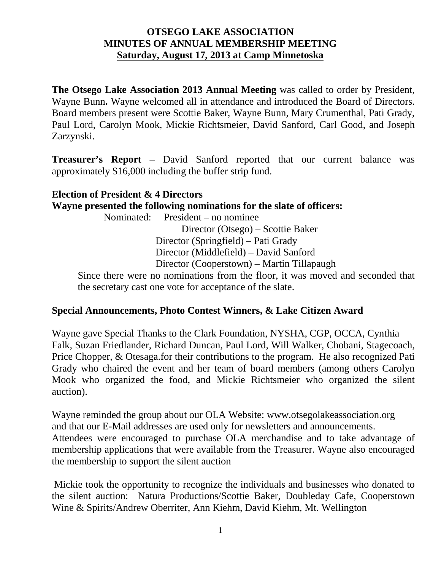## **OTSEGO LAKE ASSOCIATION MINUTES OF ANNUAL MEMBERSHIP MEETING Saturday, August 17, 2013 at Camp Minnetoska**

**The Otsego Lake Association 2013 Annual Meeting** was called to order by President, Wayne Bunn**.** Wayne welcomed all in attendance and introduced the Board of Directors. Board members present were Scottie Baker, Wayne Bunn, Mary Crumenthal, Pati Grady, Paul Lord, Carolyn Mook, Mickie Richtsmeier, David Sanford, Carl Good, and Joseph Zarzynski.

**Treasurer's Report** – David Sanford reported that our current balance was approximately \$16,000 including the buffer strip fund.

#### **Election of President & 4 Directors**

## **Wayne presented the following nominations for the slate of officers:**

Nominated: President – no nominee

Director (Otsego) – Scottie Baker Director (Springfield) – Pati Grady Director (Middlefield) – David Sanford Director (Cooperstown) – Martin Tillapaugh

Since there were no nominations from the floor, it was moved and seconded that the secretary cast one vote for acceptance of the slate.

## **Special Announcements, Photo Contest Winners, & Lake Citizen Award**

Wayne gave Special Thanks to the Clark Foundation, NYSHA, CGP, OCCA, Cynthia Falk, Suzan Friedlander, Richard Duncan, Paul Lord, Will Walker, Chobani, Stagecoach, Price Chopper, & Otesaga.for their contributions to the program. He also recognized Pati Grady who chaired the event and her team of board members (among others Carolyn Mook who organized the food, and Mickie Richtsmeier who organized the silent auction).

Wayne reminded the group about our OLA Website: [www.otsegolakeassociation.org](http://www.otsegolakeassociation.org/) and that our E-Mail addresses are used only for newsletters and announcements. Attendees were encouraged to purchase OLA merchandise and to take advantage of membership applications that were available from the Treasurer. Wayne also encouraged the membership to support the silent auction

Mickie took the opportunity to recognize the individuals and businesses who donated to the silent auction: Natura Productions/Scottie Baker, Doubleday Cafe, Cooperstown Wine & Spirits/Andrew Oberriter, Ann Kiehm, David Kiehm, Mt. Wellington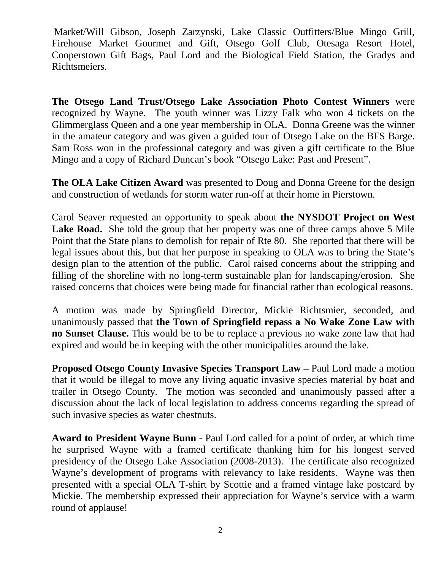Market/Will Gibson, Joseph Zarzynski, Lake Classic Outfitters/Blue Mingo Grill, Firehouse Market Gourmet and Gift, Otsego Golf Club, Otesaga Resort Hotel, Cooperstown Gift Bags, Paul Lord and the Biological Field Station, the Gradys and Richtsmeiers.

**The Otsego Land Trust/Otsego Lake Association Photo Contest Winners** were recognized by Wayne. The youth winner was Lizzy Falk who won 4 tickets on the Glimmerglass Queen and a one year membership in OLA. Donna Greene was the winner in the amateur category and was given a guided tour of Otsego Lake on the BFS Barge. Sam Ross won in the professional category and was given a gift certificate to the Blue Mingo and a copy of Richard Duncan's book "Otsego Lake: Past and Present".

**The OLA Lake Citizen Award** was presented to Doug and Donna Greene for the design and construction of wetlands for storm water run-off at their home in Pierstown.

Carol Seaver requested an opportunity to speak about **the NYSDOT Project on West**  Lake Road. She told the group that her property was one of three camps above 5 Mile Point that the State plans to demolish for repair of Rte 80. She reported that there will be legal issues about this, but that her purpose in speaking to OLA was to bring the State's design plan to the attention of the public. Carol raised concerns about the stripping and filling of the shoreline with no long-term sustainable plan for landscaping/erosion. She raised concerns that choices were being made for financial rather than ecological reasons.

A motion was made by Springfield Director, Mickie Richtsmier, seconded, and unanimously passed that **the Town of Springfield repass a No Wake Zone Law with no Sunset Clause.** This would be to be to replace a previous no wake zone law that had expired and would be in keeping with the other municipalities around the lake.

**Proposed Otsego County Invasive Species Transport Law –** Paul Lord made a motion that it would be illegal to move any living aquatic invasive species material by boat and trailer in Otsego County. The motion was seconded and unanimously passed after a discussion about the lack of local legislation to address concerns regarding the spread of such invasive species as water chestnuts.

**Award to President Wayne Bunn -** Paul Lord called for a point of order, at which time he surprised Wayne with a framed certificate thanking him for his longest served presidency of the Otsego Lake Association (2008-2013). The certificate also recognized Wayne's development of programs with relevancy to lake residents. Wayne was then presented with a special OLA T-shirt by Scottie and a framed vintage lake postcard by Mickie. The membership expressed their appreciation for Wayne's service with a warm round of applause!